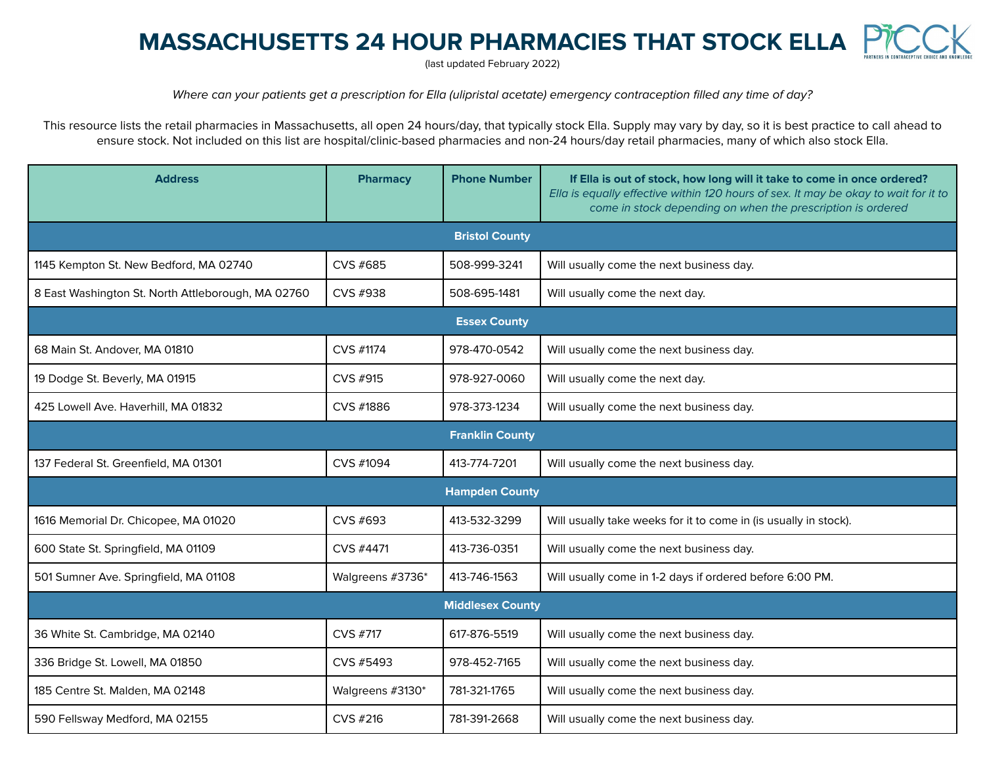## **MASSACHUSETTS 24 HOUR PHARMACIES THAT STOCK ELLA**

(last updated February 2022)

Where can your patients get a prescription for Ella (ulipristal acetate) emergency contraception filled any time of day?

This resource lists the retail pharmacies in Massachusetts, all open 24 hours/day, that typically stock Ella. Supply may vary by day, so it is best practice to call ahead to ensure stock. Not included on this list are hospital/clinic-based pharmacies and non-24 hours/day retail pharmacies, many of which also stock Ella.

| <b>Address</b>                                     | <b>Pharmacy</b>  | <b>Phone Number</b> | If Ella is out of stock, how long will it take to come in once ordered?<br>Ella is equally effective within 120 hours of sex. It may be okay to wait for it to<br>come in stock depending on when the prescription is ordered |  |  |
|----------------------------------------------------|------------------|---------------------|-------------------------------------------------------------------------------------------------------------------------------------------------------------------------------------------------------------------------------|--|--|
| <b>Bristol County</b>                              |                  |                     |                                                                                                                                                                                                                               |  |  |
| 1145 Kempton St. New Bedford, MA 02740             | CVS #685         | 508-999-3241        | Will usually come the next business day.                                                                                                                                                                                      |  |  |
| 8 East Washington St. North Attleborough, MA 02760 | CVS #938         | 508-695-1481        | Will usually come the next day.                                                                                                                                                                                               |  |  |
| <b>Essex County</b>                                |                  |                     |                                                                                                                                                                                                                               |  |  |
| 68 Main St. Andover, MA 01810                      | CVS #1174        | 978-470-0542        | Will usually come the next business day.                                                                                                                                                                                      |  |  |
| 19 Dodge St. Beverly, MA 01915                     | CVS #915         | 978-927-0060        | Will usually come the next day.                                                                                                                                                                                               |  |  |
| 425 Lowell Ave. Haverhill, MA 01832                | CVS #1886        | 978-373-1234        | Will usually come the next business day.                                                                                                                                                                                      |  |  |
| <b>Franklin County</b>                             |                  |                     |                                                                                                                                                                                                                               |  |  |
| 137 Federal St. Greenfield, MA 01301               | CVS #1094        | 413-774-7201        | Will usually come the next business day.                                                                                                                                                                                      |  |  |
| <b>Hampden County</b>                              |                  |                     |                                                                                                                                                                                                                               |  |  |
| 1616 Memorial Dr. Chicopee, MA 01020               | CVS #693         | 413-532-3299        | Will usually take weeks for it to come in (is usually in stock).                                                                                                                                                              |  |  |
| 600 State St. Springfield, MA 01109                | CVS #4471        | 413-736-0351        | Will usually come the next business day.                                                                                                                                                                                      |  |  |
| 501 Sumner Ave. Springfield, MA 01108              | Walgreens #3736* | 413-746-1563        | Will usually come in 1-2 days if ordered before 6:00 PM.                                                                                                                                                                      |  |  |
| <b>Middlesex County</b>                            |                  |                     |                                                                                                                                                                                                                               |  |  |
| 36 White St. Cambridge, MA 02140                   | CVS #717         | 617-876-5519        | Will usually come the next business day.                                                                                                                                                                                      |  |  |
| 336 Bridge St. Lowell, MA 01850                    | CVS #5493        | 978-452-7165        | Will usually come the next business day.                                                                                                                                                                                      |  |  |
| 185 Centre St. Malden, MA 02148                    | Walgreens #3130* | 781-321-1765        | Will usually come the next business day.                                                                                                                                                                                      |  |  |
| 590 Fellsway Medford, MA 02155                     | CVS #216         | 781-391-2668        | Will usually come the next business day.                                                                                                                                                                                      |  |  |